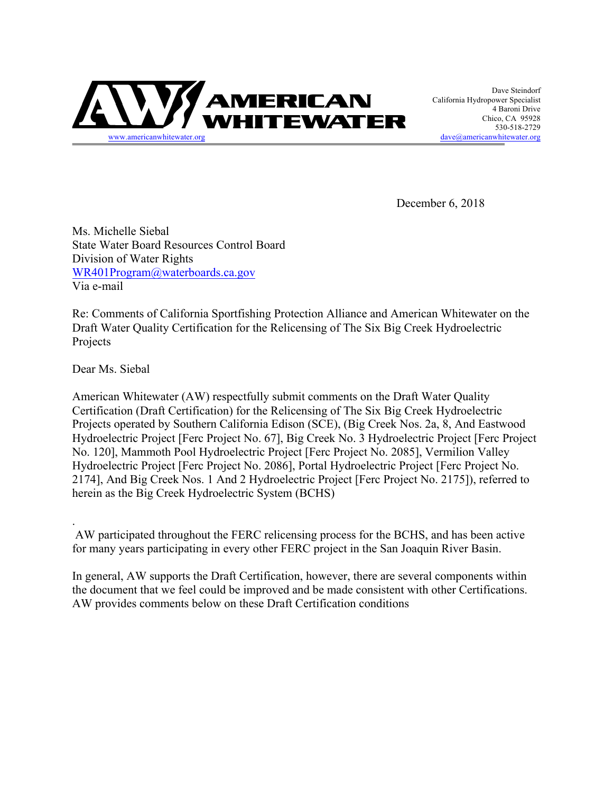

California Hydropower Specialist 4 Baroni Drive Chico, CA 95928 530-518-2729  $dave@americanwhitewater.org$ 

December 6, 2018

Ms. Michelle Siebal State Water Board Resources Control Board Division of Water Rights WR401Program@waterboards.ca.gov Via e-mail

Re: Comments of California Sportfishing Protection Alliance and American Whitewater on the Draft Water Quality Certification for the Relicensing of The Six Big Creek Hydroelectric Projects

Dear Ms. Siebal

.

American Whitewater (AW) respectfully submit comments on the Draft Water Quality Certification (Draft Certification) for the Relicensing of The Six Big Creek Hydroelectric Projects operated by Southern California Edison (SCE), (Big Creek Nos. 2a, 8, And Eastwood Hydroelectric Project [Ferc Project No. 67], Big Creek No. 3 Hydroelectric Project [Ferc Project No. 120], Mammoth Pool Hydroelectric Project [Ferc Project No. 2085], Vermilion Valley Hydroelectric Project [Ferc Project No. 2086], Portal Hydroelectric Project [Ferc Project No. 2174], And Big Creek Nos. 1 And 2 Hydroelectric Project [Ferc Project No. 2175]), referred to herein as the Big Creek Hydroelectric System (BCHS)

AW participated throughout the FERC relicensing process for the BCHS, and has been active for many years participating in every other FERC project in the San Joaquin River Basin.

In general, AW supports the Draft Certification, however, there are several components within the document that we feel could be improved and be made consistent with other Certifications. AW provides comments below on these Draft Certification conditions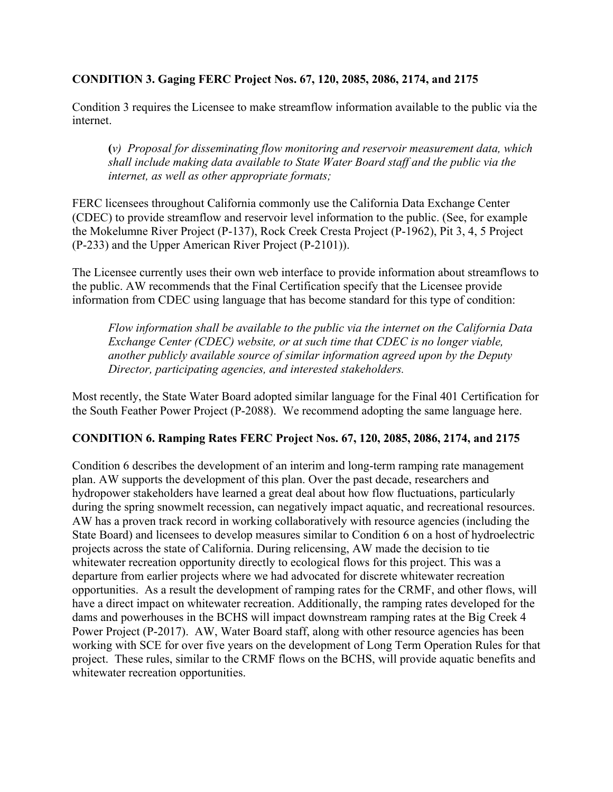### **CONDITION 3. Gaging FERC Project Nos. 67, 120, 2085, 2086, 2174, and 2175**

Condition 3 requires the Licensee to make streamflow information available to the public via the internet.

**(***v) Proposal for disseminating flow monitoring and reservoir measurement data, which shall include making data available to State Water Board staff and the public via the internet, as well as other appropriate formats;*

FERC licensees throughout California commonly use the California Data Exchange Center (CDEC) to provide streamflow and reservoir level information to the public. (See, for example the Mokelumne River Project (P-137), Rock Creek Cresta Project (P-1962), Pit 3, 4, 5 Project (P-233) and the Upper American River Project (P-2101)).

The Licensee currently uses their own web interface to provide information about streamflows to the public. AW recommends that the Final Certification specify that the Licensee provide information from CDEC using language that has become standard for this type of condition:

*Flow information shall be available to the public via the internet on the California Data Exchange Center (CDEC) website, or at such time that CDEC is no longer viable, another publicly available source of similar information agreed upon by the Deputy Director, participating agencies, and interested stakeholders.*

Most recently, the State Water Board adopted similar language for the Final 401 Certification for the South Feather Power Project (P-2088). We recommend adopting the same language here.

### **CONDITION 6. Ramping Rates FERC Project Nos. 67, 120, 2085, 2086, 2174, and 2175**

Condition 6 describes the development of an interim and long-term ramping rate management plan. AW supports the development of this plan. Over the past decade, researchers and hydropower stakeholders have learned a great deal about how flow fluctuations, particularly during the spring snowmelt recession, can negatively impact aquatic, and recreational resources. AW has a proven track record in working collaboratively with resource agencies (including the State Board) and licensees to develop measures similar to Condition 6 on a host of hydroelectric projects across the state of California. During relicensing, AW made the decision to tie whitewater recreation opportunity directly to ecological flows for this project. This was a departure from earlier projects where we had advocated for discrete whitewater recreation opportunities. As a result the development of ramping rates for the CRMF, and other flows, will have a direct impact on whitewater recreation. Additionally, the ramping rates developed for the dams and powerhouses in the BCHS will impact downstream ramping rates at the Big Creek 4 Power Project (P-2017). AW, Water Board staff, along with other resource agencies has been working with SCE for over five years on the development of Long Term Operation Rules for that project. These rules, similar to the CRMF flows on the BCHS, will provide aquatic benefits and whitewater recreation opportunities.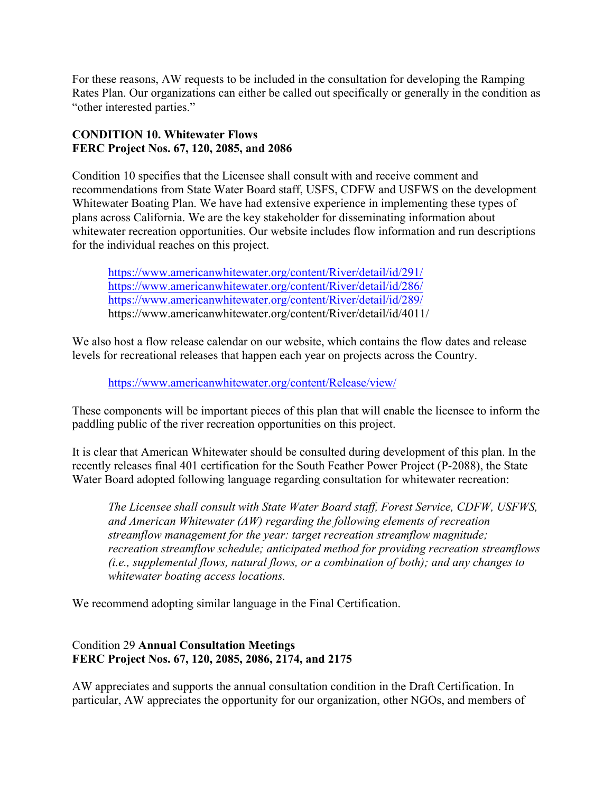For these reasons, AW requests to be included in the consultation for developing the Ramping Rates Plan. Our organizations can either be called out specifically or generally in the condition as "other interested parties."

# **CONDITION 10. Whitewater Flows FERC Project Nos. 67, 120, 2085, and 2086**

Condition 10 specifies that the Licensee shall consult with and receive comment and recommendations from State Water Board staff, USFS, CDFW and USFWS on the development Whitewater Boating Plan. We have had extensive experience in implementing these types of plans across California. We are the key stakeholder for disseminating information about whitewater recreation opportunities. Our website includes flow information and run descriptions for the individual reaches on this project.

https://www.americanwhitewater.org/content/River/detail/id/291/ https://www.americanwhitewater.org/content/River/detail/id/286/ https://www.americanwhitewater.org/content/River/detail/id/289/ https://www.americanwhitewater.org/content/River/detail/id/4011/

We also host a flow release calendar on our website, which contains the flow dates and release levels for recreational releases that happen each year on projects across the Country.

https://www.americanwhitewater.org/content/Release/view/

These components will be important pieces of this plan that will enable the licensee to inform the paddling public of the river recreation opportunities on this project.

It is clear that American Whitewater should be consulted during development of this plan. In the recently releases final 401 certification for the South Feather Power Project (P-2088), the State Water Board adopted following language regarding consultation for whitewater recreation:

*The Licensee shall consult with State Water Board staff, Forest Service, CDFW, USFWS, and American Whitewater (AW) regarding the following elements of recreation streamflow management for the year: target recreation streamflow magnitude; recreation streamflow schedule; anticipated method for providing recreation streamflows (i.e., supplemental flows, natural flows, or a combination of both); and any changes to whitewater boating access locations.* 

We recommend adopting similar language in the Final Certification.

# Condition 29 **Annual Consultation Meetings FERC Project Nos. 67, 120, 2085, 2086, 2174, and 2175**

AW appreciates and supports the annual consultation condition in the Draft Certification. In particular, AW appreciates the opportunity for our organization, other NGOs, and members of